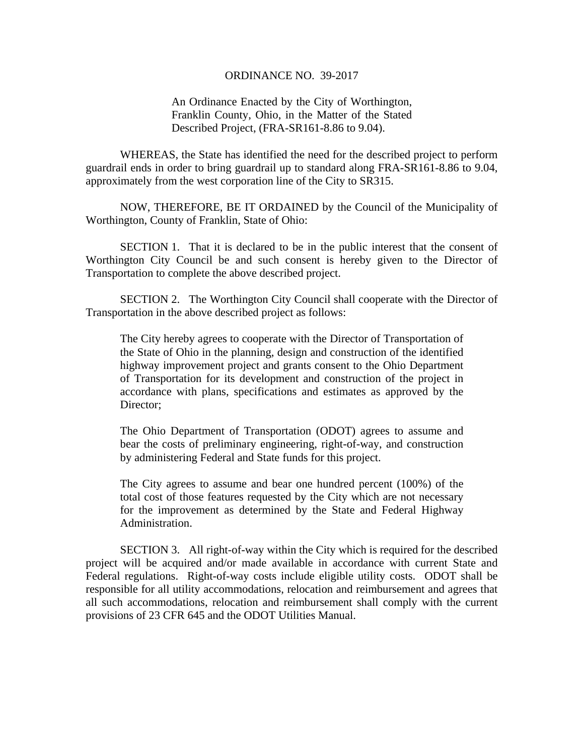## ORDINANCE NO. 39-2017

An Ordinance Enacted by the City of Worthington, Franklin County, Ohio, in the Matter of the Stated Described Project, (FRA-SR161-8.86 to 9.04).

WHEREAS, the State has identified the need for the described project to perform guardrail ends in order to bring guardrail up to standard along FRA-SR161-8.86 to 9.04, approximately from the west corporation line of the City to SR315.

 NOW, THEREFORE, BE IT ORDAINED by the Council of the Municipality of Worthington, County of Franklin, State of Ohio:

SECTION 1. That it is declared to be in the public interest that the consent of Worthington City Council be and such consent is hereby given to the Director of Transportation to complete the above described project.

 SECTION 2. The Worthington City Council shall cooperate with the Director of Transportation in the above described project as follows:

The City hereby agrees to cooperate with the Director of Transportation of the State of Ohio in the planning, design and construction of the identified highway improvement project and grants consent to the Ohio Department of Transportation for its development and construction of the project in accordance with plans, specifications and estimates as approved by the Director;

The Ohio Department of Transportation (ODOT) agrees to assume and bear the costs of preliminary engineering, right-of-way, and construction by administering Federal and State funds for this project.

The City agrees to assume and bear one hundred percent (100%) of the total cost of those features requested by the City which are not necessary for the improvement as determined by the State and Federal Highway Administration.

 SECTION 3. All right-of-way within the City which is required for the described project will be acquired and/or made available in accordance with current State and Federal regulations. Right-of-way costs include eligible utility costs. ODOT shall be responsible for all utility accommodations, relocation and reimbursement and agrees that all such accommodations, relocation and reimbursement shall comply with the current provisions of 23 CFR 645 and the ODOT Utilities Manual.